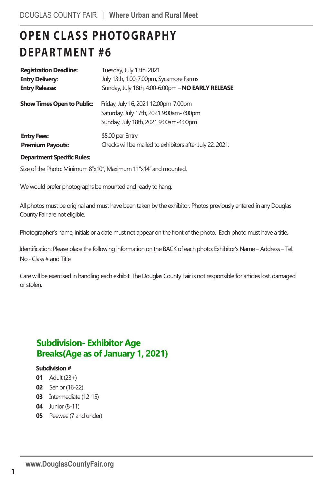# **OPEN CLASS PHOTOGRAPHY DEPARTMENT #6**

| <b>Registration Deadline:</b>                 | Tuesday, July 13th, 2021                                                                                                 |
|-----------------------------------------------|--------------------------------------------------------------------------------------------------------------------------|
| <b>Entry Delivery:</b>                        | July 13th, 1:00-7:00pm, Sycamore Farms                                                                                   |
| <b>Entry Release:</b>                         | Sunday, July 18th, 4:00-6:00pm - NO EARLY RELEASE                                                                        |
| <b>Show Times Open to Public:</b>             | Friday, July 16, 2021 12:00pm-7:00pm<br>Saturday, July 17th, 2021 9:00am-7:00pm<br>Sunday, July 18th, 2021 9:00am-4:00pm |
| <b>Entry Fees:</b><br><b>Premium Payouts:</b> | \$5.00 per Entry<br>Checks will be mailed to exhibitors after July 22, 2021.                                             |

#### **Department Specific Rules:**

Size of the Photo: Minimum 8"x10", Maximum 11"x14" and mounted.

We would prefer photographs be mounted and ready to hang.

All photos must be original and must have been taken by the exhibitor. Photos previously entered in any Douglas County Fair are not eligible.

Photographer's name, initials or a date must not appear on the front of the photo. Each photo must have a title.

Identification: Please place the following information on the BACK of each photo: Exhibitor's Name – Address – Tel. No.- Class # and Title

Care will be exercised in handling each exhibit. The Douglas County Fair is not responsible for articles lost, damaged or stolen.

# **Subdivision- Exhibitor Age Breaks(Age as of January 1, 2021)**

#### **Subdivision#**

- **01** Adult(23+)
- **02** Senior(16-22)
- **03** Intermediate (12-15)
- **04** Junior (8-11)
- **05** Peewee (7 and under)